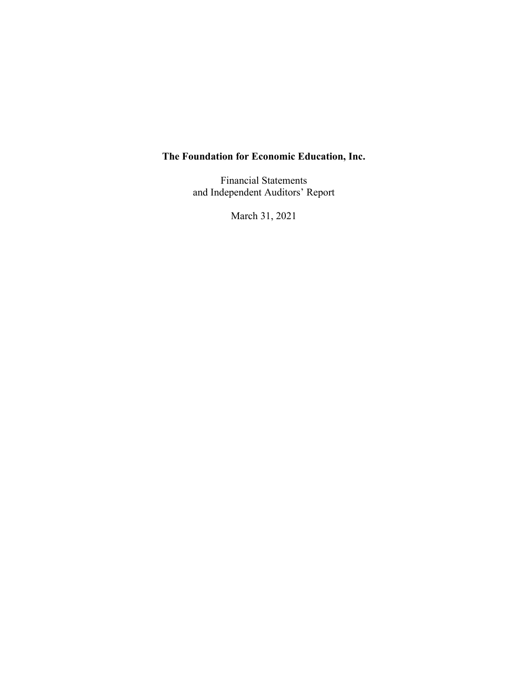Financial Statements and Independent Auditors' Report

March 31, 2021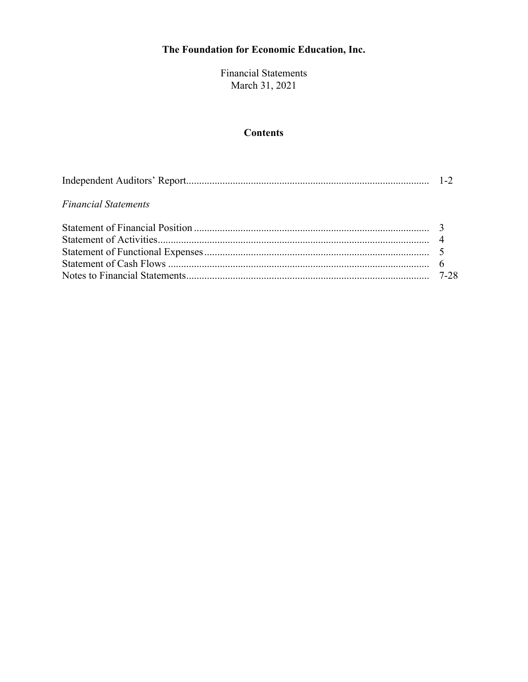Financial Statements March 31, 2021

# **Contents**

| <b>Financial Statements</b> |  |
|-----------------------------|--|
|                             |  |
|                             |  |
|                             |  |
|                             |  |
|                             |  |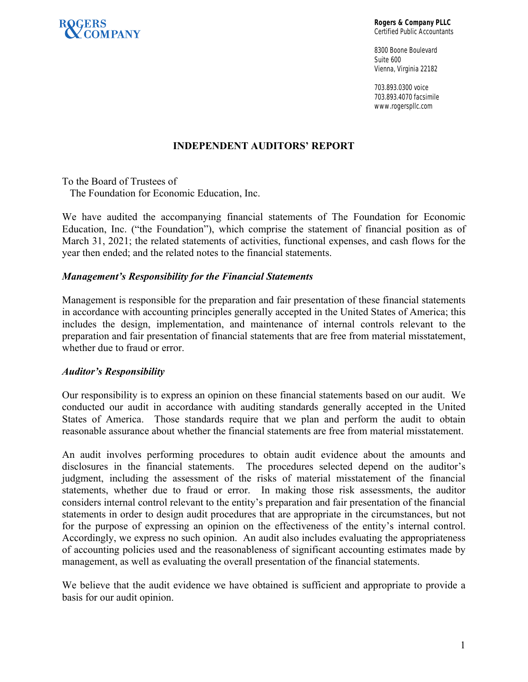

**Rogers & Company PLLC**  Certified Public Accountants

8300 Boone Boulevard Suite 600 Vienna, Virginia 22182

703.893.0300 voice 703.893.4070 facsimile www.rogerspllc.com

## **INDEPENDENT AUDITORS' REPORT**

To the Board of Trustees of The Foundation for Economic Education, Inc.

We have audited the accompanying financial statements of The Foundation for Economic Education, Inc. ("the Foundation"), which comprise the statement of financial position as of March 31, 2021; the related statements of activities, functional expenses, and cash flows for the year then ended; and the related notes to the financial statements.

## *Management's Responsibility for the Financial Statements*

Management is responsible for the preparation and fair presentation of these financial statements in accordance with accounting principles generally accepted in the United States of America; this includes the design, implementation, and maintenance of internal controls relevant to the preparation and fair presentation of financial statements that are free from material misstatement, whether due to fraud or error.

## *Auditor's Responsibility*

Our responsibility is to express an opinion on these financial statements based on our audit. We conducted our audit in accordance with auditing standards generally accepted in the United States of America. Those standards require that we plan and perform the audit to obtain reasonable assurance about whether the financial statements are free from material misstatement.

An audit involves performing procedures to obtain audit evidence about the amounts and disclosures in the financial statements. The procedures selected depend on the auditor's judgment, including the assessment of the risks of material misstatement of the financial statements, whether due to fraud or error. In making those risk assessments, the auditor considers internal control relevant to the entity's preparation and fair presentation of the financial statements in order to design audit procedures that are appropriate in the circumstances, but not for the purpose of expressing an opinion on the effectiveness of the entity's internal control. Accordingly, we express no such opinion. An audit also includes evaluating the appropriateness of accounting policies used and the reasonableness of significant accounting estimates made by management, as well as evaluating the overall presentation of the financial statements.

We believe that the audit evidence we have obtained is sufficient and appropriate to provide a basis for our audit opinion.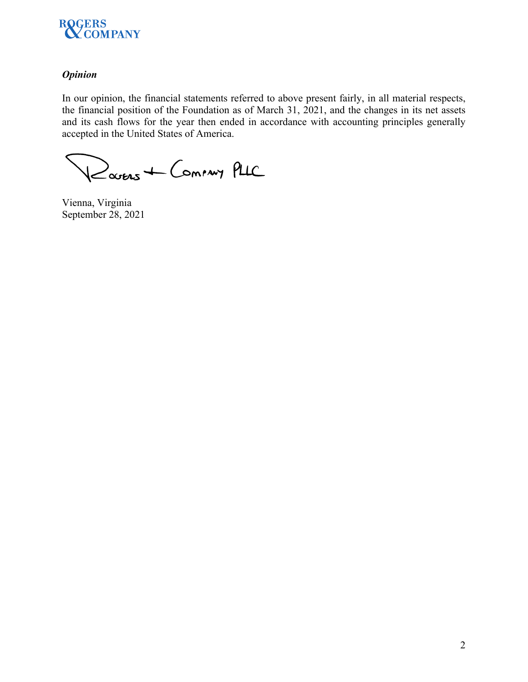

## *Opinion*

In our opinion, the financial statements referred to above present fairly, in all material respects, the financial position of the Foundation as of March 31, 2021, and the changes in its net assets and its cash flows for the year then ended in accordance with accounting principles generally accepted in the United States of America.

Ravers + Commy PLIC

Vienna, Virginia September 28, 2021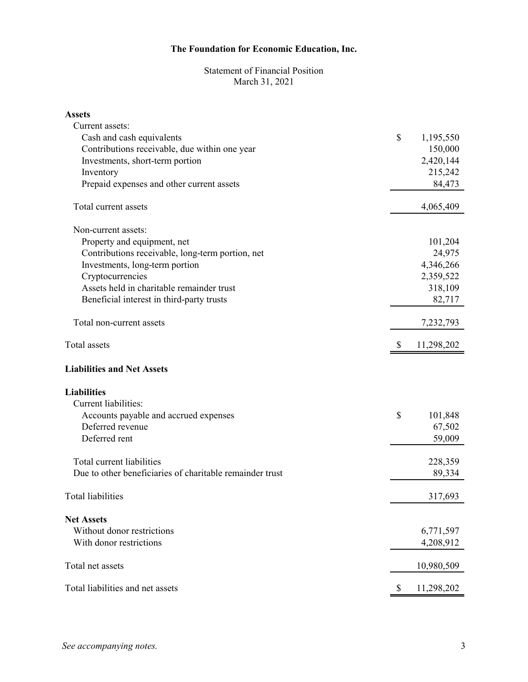#### Statement of Financial Position March 31, 2021

| <b>Assets</b>                                                                         |               |                   |
|---------------------------------------------------------------------------------------|---------------|-------------------|
| Current assets:                                                                       |               |                   |
| Cash and cash equivalents                                                             | \$            | 1,195,550         |
| Contributions receivable, due within one year                                         |               | 150,000           |
| Investments, short-term portion                                                       |               | 2,420,144         |
| Inventory                                                                             |               | 215,242           |
| Prepaid expenses and other current assets                                             |               | 84,473            |
| Total current assets                                                                  |               | 4,065,409         |
| Non-current assets:                                                                   |               |                   |
| Property and equipment, net                                                           |               | 101,204           |
| Contributions receivable, long-term portion, net                                      |               | 24,975            |
| Investments, long-term portion                                                        |               | 4,346,266         |
| Cryptocurrencies                                                                      |               | 2,359,522         |
| Assets held in charitable remainder trust                                             |               | 318,109           |
| Beneficial interest in third-party trusts                                             |               | 82,717            |
| Total non-current assets                                                              |               | 7,232,793         |
| Total assets                                                                          | S             | 11,298,202        |
|                                                                                       |               |                   |
| <b>Liabilities and Net Assets</b>                                                     |               |                   |
| <b>Liabilities</b>                                                                    |               |                   |
| <b>Current liabilities:</b>                                                           |               |                   |
| Accounts payable and accrued expenses                                                 | $\mathcal{S}$ | 101,848           |
| Deferred revenue                                                                      |               | 67,502            |
| Deferred rent                                                                         |               | 59,009            |
|                                                                                       |               |                   |
| Total current liabilities<br>Due to other beneficiaries of charitable remainder trust |               | 228,359<br>89,334 |
|                                                                                       |               |                   |
| Total liabilities                                                                     |               | 317,693           |
| <b>Net Assets</b>                                                                     |               |                   |
| Without donor restrictions                                                            |               | 6,771,597         |
| With donor restrictions                                                               |               | 4,208,912         |
| Total net assets                                                                      |               | 10,980,509        |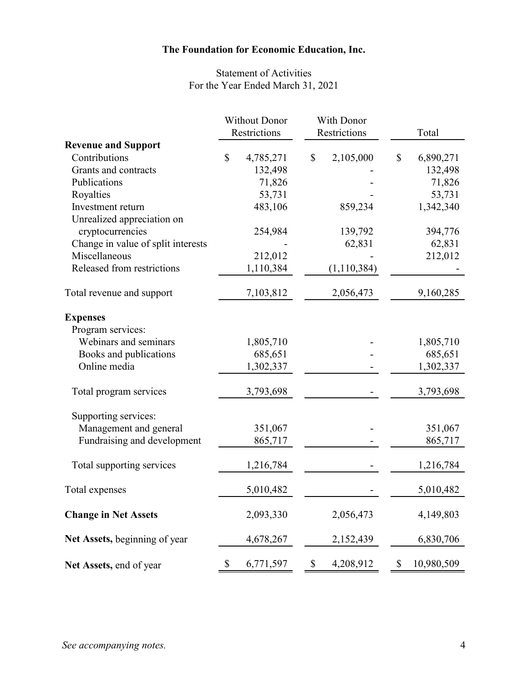## Statement of Activities For the Year Ended March 31, 2021

|                                    | <b>Without Donor</b> | With Donor   |               |                  |
|------------------------------------|----------------------|--------------|---------------|------------------|
|                                    | Restrictions         | Restrictions |               | Total            |
| <b>Revenue and Support</b>         |                      |              |               |                  |
| Contributions                      | \$<br>4,785,271      | \$           | 2,105,000     | \$<br>6,890,271  |
| Grants and contracts               | 132,498              |              |               | 132,498          |
| Publications                       | 71,826               |              |               | 71,826           |
| Royalties                          | 53,731               |              |               | 53,731           |
| Investment return                  | 483,106              |              | 859,234       | 1,342,340        |
| Unrealized appreciation on         |                      |              |               |                  |
| cryptocurrencies                   | 254,984              |              | 139,792       | 394,776          |
| Change in value of split interests |                      |              | 62,831        | 62,831           |
| Miscellaneous                      | 212,012              |              |               | 212,012          |
| Released from restrictions         | 1,110,384            |              | (1, 110, 384) |                  |
| Total revenue and support          | 7,103,812            |              | 2,056,473     | 9,160,285        |
| <b>Expenses</b>                    |                      |              |               |                  |
| Program services:                  |                      |              |               |                  |
| Webinars and seminars              | 1,805,710            |              |               | 1,805,710        |
| Books and publications             | 685,651              |              |               | 685,651          |
| Online media                       | 1,302,337            |              |               | 1,302,337        |
| Total program services             | 3,793,698            |              |               | 3,793,698        |
| Supporting services:               |                      |              |               |                  |
| Management and general             | 351,067              |              |               | 351,067          |
| Fundraising and development        | 865,717              |              |               | 865,717          |
| Total supporting services          | 1,216,784            |              |               | 1,216,784        |
| Total expenses                     | 5,010,482            |              |               | 5,010,482        |
| <b>Change in Net Assets</b>        | 2,093,330            |              | 2,056,473     | 4,149,803        |
| Net Assets, beginning of year      | 4,678,267            |              | 2,152,439     | 6,830,706        |
| Net Assets, end of year            | \$<br>6,771,597      | \$           | 4,208,912     | \$<br>10,980,509 |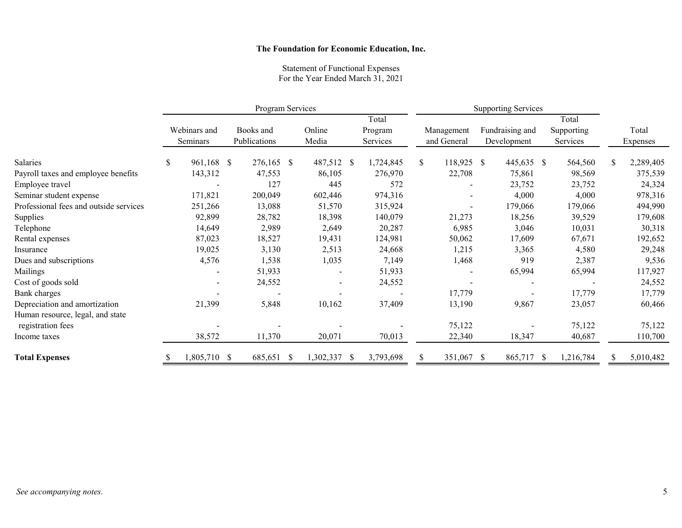Statement of Functional Expenses For the Year Ended March 31, 2021

|                                        | Program Services |                          |                           |            |                 |    |                              | <b>Supporting Services</b> |                           |              |                                |                                 |    |                   |
|----------------------------------------|------------------|--------------------------|---------------------------|------------|-----------------|----|------------------------------|----------------------------|---------------------------|--------------|--------------------------------|---------------------------------|----|-------------------|
|                                        |                  | Webinars and<br>Seminars | Books and<br>Publications |            | Online<br>Media |    | Total<br>Program<br>Services |                            | Management<br>and General |              | Fundraising and<br>Development | Total<br>Supporting<br>Services |    | Total<br>Expenses |
| Salaries                               | <sup>\$</sup>    | 961,168 \$               |                           | 276,165 \$ | 487,512 \$      |    | 1,724,845                    | \$                         | 118,925                   | <sup>S</sup> | 445,635 \$                     | 564,560                         | \$ | 2,289,405         |
| Payroll taxes and employee benefits    |                  | 143,312                  |                           | 47,553     | 86,105          |    | 276,970                      |                            | 22,708                    |              | 75,861                         | 98,569                          |    | 375,539           |
| Employee travel                        |                  |                          |                           | 127        | 445             |    | 572                          |                            |                           |              | 23,752                         | 23,752                          |    | 24,324            |
| Seminar student expense                |                  | 171,821                  | 200,049                   |            | 602,446         |    | 974,316                      |                            |                           |              | 4,000                          | 4,000                           |    | 978,316           |
| Professional fees and outside services |                  | 251,266                  |                           | 13,088     | 51,570          |    | 315,924                      |                            |                           |              | 179,066                        | 179,066                         |    | 494,990           |
| Supplies                               |                  | 92,899                   |                           | 28,782     | 18,398          |    | 140,079                      |                            | 21,273                    |              | 18,256                         | 39,529                          |    | 179,608           |
| Telephone                              |                  | 14,649                   |                           | 2,989      | 2,649           |    | 20,287                       |                            | 6,985                     |              | 3,046                          | 10,031                          |    | 30,318            |
| Rental expenses                        |                  | 87,023                   |                           | 18,527     | 19,431          |    | 124,981                      |                            | 50,062                    |              | 17,609                         | 67,671                          |    | 192,652           |
| Insurance                              |                  | 19,025                   |                           | 3,130      | 2,513           |    | 24,668                       |                            | 1,215                     |              | 3,365                          | 4,580                           |    | 29,248            |
| Dues and subscriptions                 |                  | 4,576                    |                           | 1,538      | 1,035           |    | 7,149                        |                            | 1,468                     |              | 919                            | 2,387                           |    | 9,536             |
| Mailings                               |                  |                          | 51,933                    |            |                 |    | 51,933                       |                            |                           |              | 65,994                         | 65,994                          |    | 117,927           |
| Cost of goods sold                     |                  |                          |                           | 24,552     |                 |    | 24,552                       |                            |                           |              |                                |                                 |    | 24,552            |
| Bank charges                           |                  |                          |                           |            |                 |    |                              |                            | 17,779                    |              |                                | 17,779                          |    | 17,779            |
| Depreciation and amortization          |                  | 21,399                   |                           | 5,848      | 10,162          |    | 37,409                       |                            | 13,190                    |              | 9,867                          | 23,057                          |    | 60,466            |
| Human resource, legal, and state       |                  |                          |                           |            |                 |    |                              |                            |                           |              |                                |                                 |    |                   |
| registration fees                      |                  |                          |                           |            |                 |    |                              |                            | 75,122                    |              |                                | 75,122                          |    | 75,122            |
| Income taxes                           |                  | 38,572                   |                           | 11,370     | 20,071          |    | 70,013                       |                            | 22,340                    |              | 18,347                         | 40,687                          |    | 110,700           |
| <b>Total Expenses</b>                  |                  | 1,805,710 \$             |                           | 685,651 \$ | 1,302,337       | -S | 3,793,698                    | S.                         | 351,067                   | <sup>S</sup> | 865,717<br><sup>\$</sup>       | 1,216,784                       | S. | 5,010,482         |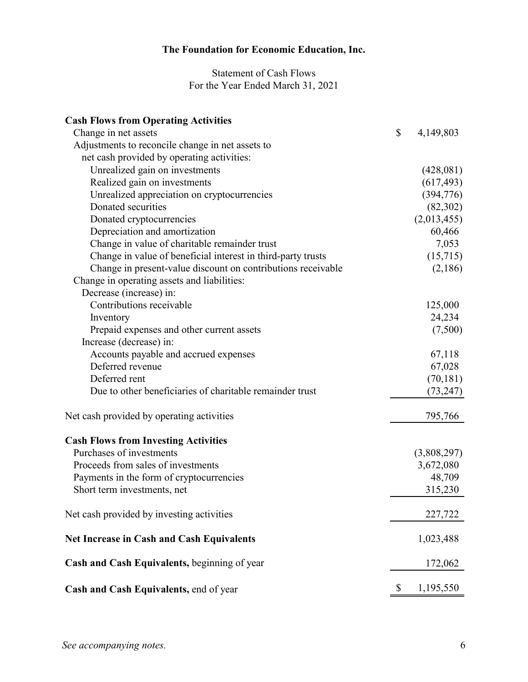# Statement of Cash Flows For the Year Ended March 31, 2021

| <b>Cash Flows from Operating Activities</b>                  |                 |
|--------------------------------------------------------------|-----------------|
| Change in net assets                                         | \$<br>4,149,803 |
| Adjustments to reconcile change in net assets to             |                 |
| net cash provided by operating activities:                   |                 |
| Unrealized gain on investments                               | (428,081)       |
| Realized gain on investments                                 | (617, 493)      |
| Unrealized appreciation on cryptocurrencies                  | (394,776)       |
| Donated securities                                           | (82,302)        |
| Donated cryptocurrencies                                     | (2,013,455)     |
| Depreciation and amortization                                | 60,466          |
| Change in value of charitable remainder trust                | 7,053           |
| Change in value of beneficial interest in third-party trusts | (15,715)        |
| Change in present-value discount on contributions receivable | (2,186)         |
| Change in operating assets and liabilities:                  |                 |
| Decrease (increase) in:                                      |                 |
| Contributions receivable                                     | 125,000         |
| Inventory                                                    | 24,234          |
| Prepaid expenses and other current assets                    | (7,500)         |
| Increase (decrease) in:                                      |                 |
| Accounts payable and accrued expenses                        | 67,118          |
| Deferred revenue                                             | 67,028          |
| Deferred rent                                                | (70, 181)       |
| Due to other beneficiaries of charitable remainder trust     | (73, 247)       |
| Net cash provided by operating activities                    | 795,766         |
| <b>Cash Flows from Investing Activities</b>                  |                 |
| Purchases of investments                                     | (3,808,297)     |
| Proceeds from sales of investments                           | 3,672,080       |
| Payments in the form of cryptocurrencies                     | 48,709          |
| Short term investments, net                                  | 315,230         |
| Net cash provided by investing activities                    | 227,722         |
| <b>Net Increase in Cash and Cash Equivalents</b>             | 1,023,488       |
| Cash and Cash Equivalents, beginning of year                 | 172,062         |
| Cash and Cash Equivalents, end of year                       | \$<br>1,195,550 |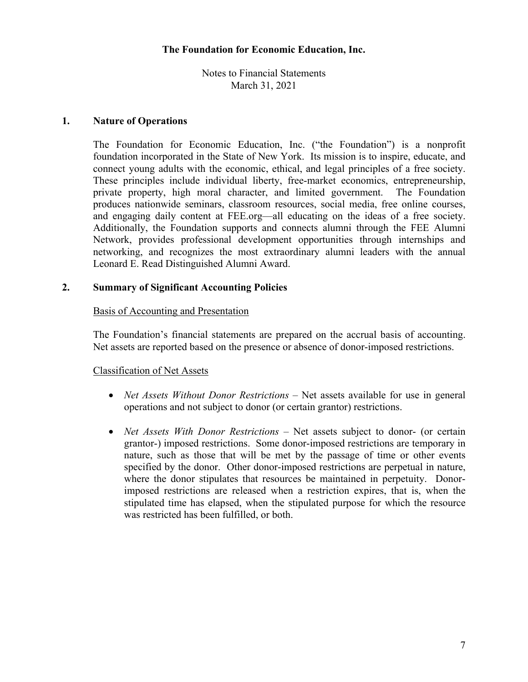Notes to Financial Statements March 31, 2021

### **1. Nature of Operations**

The Foundation for Economic Education, Inc. ("the Foundation") is a nonprofit foundation incorporated in the State of New York. Its mission is to inspire, educate, and connect young adults with the economic, ethical, and legal principles of a free society. These principles include individual liberty, free-market economics, entrepreneurship, private property, high moral character, and limited government. The Foundation produces nationwide seminars, classroom resources, social media, free online courses, and engaging daily content at FEE.org—all educating on the ideas of a free society. Additionally, the Foundation supports and connects alumni through the FEE Alumni Network, provides professional development opportunities through internships and networking, and recognizes the most extraordinary alumni leaders with the annual Leonard E. Read Distinguished Alumni Award.

## **2. Summary of Significant Accounting Policies**

### Basis of Accounting and Presentation

The Foundation's financial statements are prepared on the accrual basis of accounting. Net assets are reported based on the presence or absence of donor-imposed restrictions.

#### Classification of Net Assets

- *Net Assets Without Donor Restrictions* Net assets available for use in general operations and not subject to donor (or certain grantor) restrictions.
- *Net Assets With Donor Restrictions* Net assets subject to donor- (or certain grantor-) imposed restrictions. Some donor-imposed restrictions are temporary in nature, such as those that will be met by the passage of time or other events specified by the donor. Other donor-imposed restrictions are perpetual in nature, where the donor stipulates that resources be maintained in perpetuity. Donorimposed restrictions are released when a restriction expires, that is, when the stipulated time has elapsed, when the stipulated purpose for which the resource was restricted has been fulfilled, or both.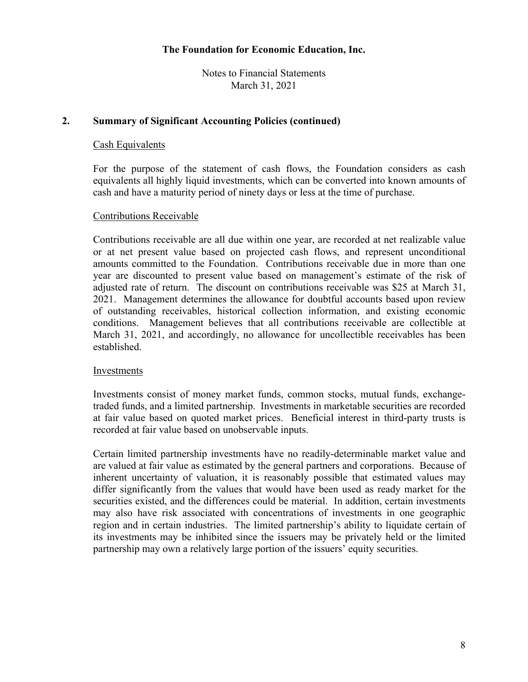Notes to Financial Statements March 31, 2021

## **2. Summary of Significant Accounting Policies (continued)**

## Cash Equivalents

For the purpose of the statement of cash flows, the Foundation considers as cash equivalents all highly liquid investments, which can be converted into known amounts of cash and have a maturity period of ninety days or less at the time of purchase.

## Contributions Receivable

Contributions receivable are all due within one year, are recorded at net realizable value or at net present value based on projected cash flows, and represent unconditional amounts committed to the Foundation. Contributions receivable due in more than one year are discounted to present value based on management's estimate of the risk of adjusted rate of return. The discount on contributions receivable was \$25 at March 31, 2021. Management determines the allowance for doubtful accounts based upon review of outstanding receivables, historical collection information, and existing economic conditions. Management believes that all contributions receivable are collectible at March 31, 2021, and accordingly, no allowance for uncollectible receivables has been established.

#### Investments

Investments consist of money market funds, common stocks, mutual funds, exchangetraded funds, and a limited partnership. Investments in marketable securities are recorded at fair value based on quoted market prices. Beneficial interest in third-party trusts is recorded at fair value based on unobservable inputs.

Certain limited partnership investments have no readily-determinable market value and are valued at fair value as estimated by the general partners and corporations. Because of inherent uncertainty of valuation, it is reasonably possible that estimated values may differ significantly from the values that would have been used as ready market for the securities existed, and the differences could be material. In addition, certain investments may also have risk associated with concentrations of investments in one geographic region and in certain industries. The limited partnership's ability to liquidate certain of its investments may be inhibited since the issuers may be privately held or the limited partnership may own a relatively large portion of the issuers' equity securities.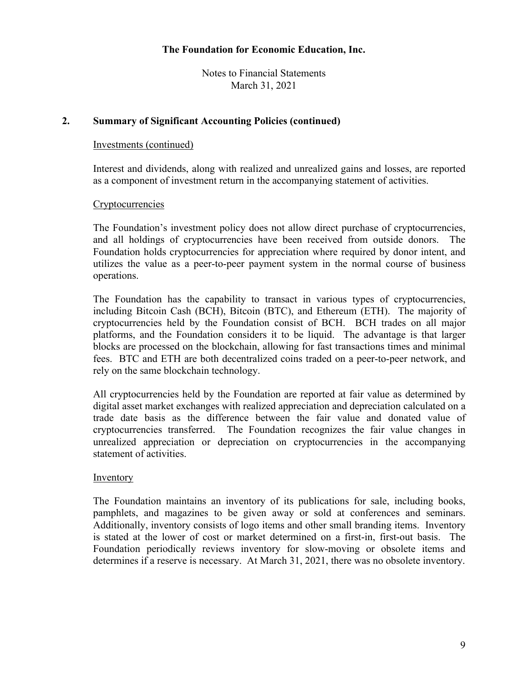Notes to Financial Statements March 31, 2021

## **2. Summary of Significant Accounting Policies (continued)**

### Investments (continued)

Interest and dividends, along with realized and unrealized gains and losses, are reported as a component of investment return in the accompanying statement of activities.

## **Cryptocurrencies**

The Foundation's investment policy does not allow direct purchase of cryptocurrencies, and all holdings of cryptocurrencies have been received from outside donors. The Foundation holds cryptocurrencies for appreciation where required by donor intent, and utilizes the value as a peer-to-peer payment system in the normal course of business operations.

The Foundation has the capability to transact in various types of cryptocurrencies, including Bitcoin Cash (BCH), Bitcoin (BTC), and Ethereum (ETH). The majority of cryptocurrencies held by the Foundation consist of BCH. BCH trades on all major platforms, and the Foundation considers it to be liquid. The advantage is that larger blocks are processed on the blockchain, allowing for fast transactions times and minimal fees. BTC and ETH are both decentralized coins traded on a peer-to-peer network, and rely on the same blockchain technology.

All cryptocurrencies held by the Foundation are reported at fair value as determined by digital asset market exchanges with realized appreciation and depreciation calculated on a trade date basis as the difference between the fair value and donated value of cryptocurrencies transferred. The Foundation recognizes the fair value changes in unrealized appreciation or depreciation on cryptocurrencies in the accompanying statement of activities.

## Inventory

The Foundation maintains an inventory of its publications for sale, including books, pamphlets, and magazines to be given away or sold at conferences and seminars. Additionally, inventory consists of logo items and other small branding items. Inventory is stated at the lower of cost or market determined on a first-in, first-out basis. The Foundation periodically reviews inventory for slow-moving or obsolete items and determines if a reserve is necessary. At March 31, 2021, there was no obsolete inventory.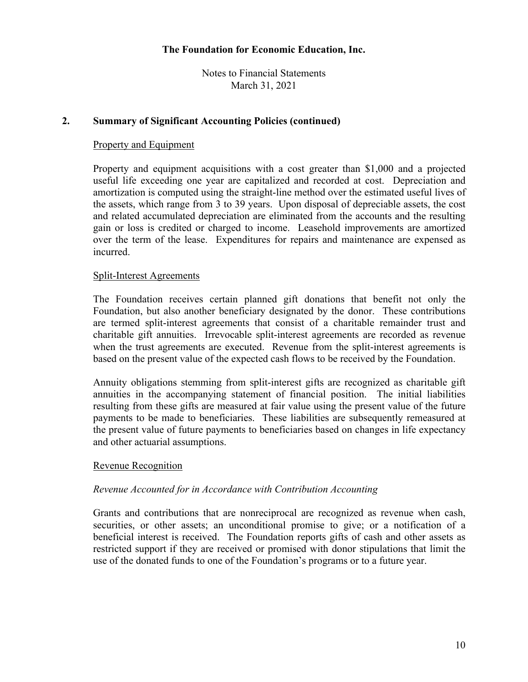Notes to Financial Statements March 31, 2021

## **2. Summary of Significant Accounting Policies (continued)**

## Property and Equipment

Property and equipment acquisitions with a cost greater than \$1,000 and a projected useful life exceeding one year are capitalized and recorded at cost. Depreciation and amortization is computed using the straight-line method over the estimated useful lives of the assets, which range from 3 to 39 years. Upon disposal of depreciable assets, the cost and related accumulated depreciation are eliminated from the accounts and the resulting gain or loss is credited or charged to income. Leasehold improvements are amortized over the term of the lease. Expenditures for repairs and maintenance are expensed as incurred.

## Split-Interest Agreements

The Foundation receives certain planned gift donations that benefit not only the Foundation, but also another beneficiary designated by the donor. These contributions are termed split-interest agreements that consist of a charitable remainder trust and charitable gift annuities. Irrevocable split-interest agreements are recorded as revenue when the trust agreements are executed. Revenue from the split-interest agreements is based on the present value of the expected cash flows to be received by the Foundation.

Annuity obligations stemming from split-interest gifts are recognized as charitable gift annuities in the accompanying statement of financial position. The initial liabilities resulting from these gifts are measured at fair value using the present value of the future payments to be made to beneficiaries. These liabilities are subsequently remeasured at the present value of future payments to beneficiaries based on changes in life expectancy and other actuarial assumptions.

## Revenue Recognition

## *Revenue Accounted for in Accordance with Contribution Accounting*

Grants and contributions that are nonreciprocal are recognized as revenue when cash, securities, or other assets; an unconditional promise to give; or a notification of a beneficial interest is received. The Foundation reports gifts of cash and other assets as restricted support if they are received or promised with donor stipulations that limit the use of the donated funds to one of the Foundation's programs or to a future year.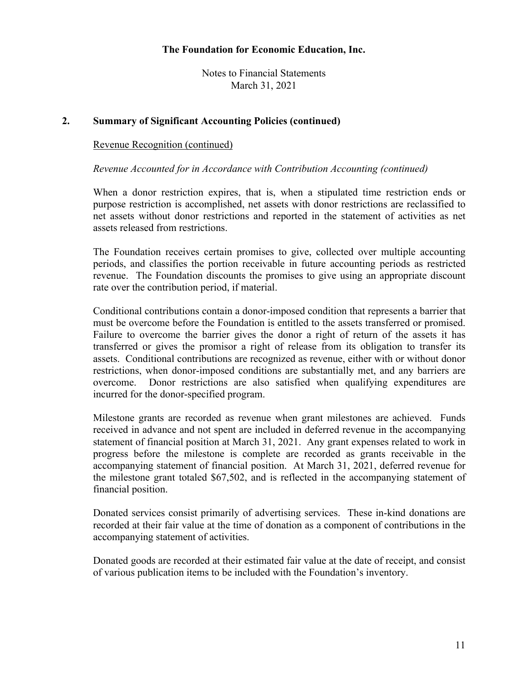Notes to Financial Statements March 31, 2021

## **2. Summary of Significant Accounting Policies (continued)**

#### Revenue Recognition (continued)

*Revenue Accounted for in Accordance with Contribution Accounting (continued)* 

When a donor restriction expires, that is, when a stipulated time restriction ends or purpose restriction is accomplished, net assets with donor restrictions are reclassified to net assets without donor restrictions and reported in the statement of activities as net assets released from restrictions.

The Foundation receives certain promises to give, collected over multiple accounting periods, and classifies the portion receivable in future accounting periods as restricted revenue. The Foundation discounts the promises to give using an appropriate discount rate over the contribution period, if material.

Conditional contributions contain a donor-imposed condition that represents a barrier that must be overcome before the Foundation is entitled to the assets transferred or promised. Failure to overcome the barrier gives the donor a right of return of the assets it has transferred or gives the promisor a right of release from its obligation to transfer its assets. Conditional contributions are recognized as revenue, either with or without donor restrictions, when donor-imposed conditions are substantially met, and any barriers are overcome. Donor restrictions are also satisfied when qualifying expenditures are incurred for the donor-specified program.

Milestone grants are recorded as revenue when grant milestones are achieved. Funds received in advance and not spent are included in deferred revenue in the accompanying statement of financial position at March 31, 2021. Any grant expenses related to work in progress before the milestone is complete are recorded as grants receivable in the accompanying statement of financial position. At March 31, 2021, deferred revenue for the milestone grant totaled \$67,502, and is reflected in the accompanying statement of financial position.

Donated services consist primarily of advertising services. These in-kind donations are recorded at their fair value at the time of donation as a component of contributions in the accompanying statement of activities.

Donated goods are recorded at their estimated fair value at the date of receipt, and consist of various publication items to be included with the Foundation's inventory.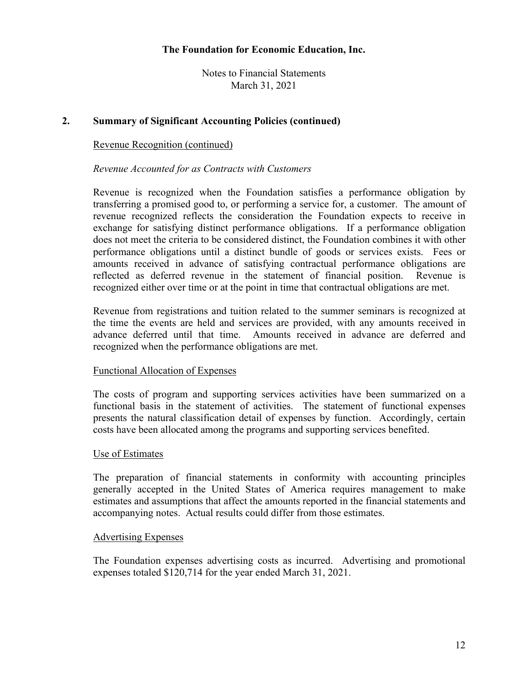Notes to Financial Statements March 31, 2021

## **2. Summary of Significant Accounting Policies (continued)**

### Revenue Recognition (continued)

### *Revenue Accounted for as Contracts with Customers*

Revenue is recognized when the Foundation satisfies a performance obligation by transferring a promised good to, or performing a service for, a customer. The amount of revenue recognized reflects the consideration the Foundation expects to receive in exchange for satisfying distinct performance obligations. If a performance obligation does not meet the criteria to be considered distinct, the Foundation combines it with other performance obligations until a distinct bundle of goods or services exists. Fees or amounts received in advance of satisfying contractual performance obligations are reflected as deferred revenue in the statement of financial position. Revenue is recognized either over time or at the point in time that contractual obligations are met.

Revenue from registrations and tuition related to the summer seminars is recognized at the time the events are held and services are provided, with any amounts received in advance deferred until that time. Amounts received in advance are deferred and recognized when the performance obligations are met.

#### Functional Allocation of Expenses

The costs of program and supporting services activities have been summarized on a functional basis in the statement of activities. The statement of functional expenses presents the natural classification detail of expenses by function. Accordingly, certain costs have been allocated among the programs and supporting services benefited.

#### Use of Estimates

The preparation of financial statements in conformity with accounting principles generally accepted in the United States of America requires management to make estimates and assumptions that affect the amounts reported in the financial statements and accompanying notes. Actual results could differ from those estimates.

#### Advertising Expenses

The Foundation expenses advertising costs as incurred. Advertising and promotional expenses totaled \$120,714 for the year ended March 31, 2021.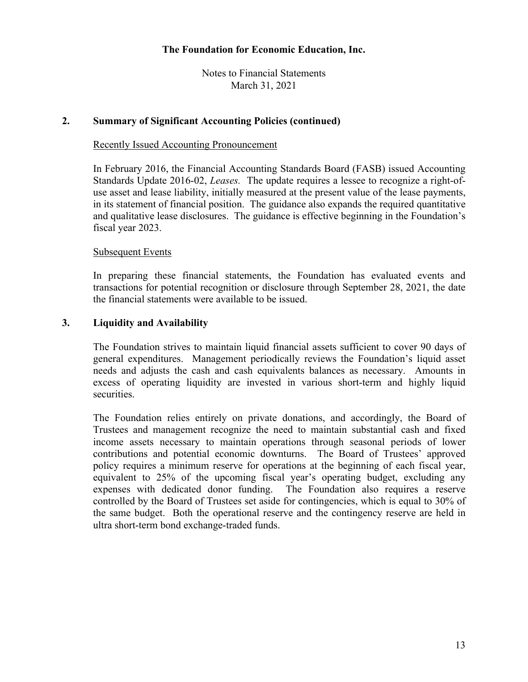Notes to Financial Statements March 31, 2021

### **2. Summary of Significant Accounting Policies (continued)**

#### Recently Issued Accounting Pronouncement

In February 2016, the Financial Accounting Standards Board (FASB) issued Accounting Standards Update 2016-02, *Leases.* The update requires a lessee to recognize a right-ofuse asset and lease liability, initially measured at the present value of the lease payments, in its statement of financial position. The guidance also expands the required quantitative and qualitative lease disclosures. The guidance is effective beginning in the Foundation's fiscal year 2023.

## **Subsequent Events**

In preparing these financial statements, the Foundation has evaluated events and transactions for potential recognition or disclosure through September 28, 2021, the date the financial statements were available to be issued.

## **3. Liquidity and Availability**

The Foundation strives to maintain liquid financial assets sufficient to cover 90 days of general expenditures. Management periodically reviews the Foundation's liquid asset needs and adjusts the cash and cash equivalents balances as necessary. Amounts in excess of operating liquidity are invested in various short-term and highly liquid securities.

The Foundation relies entirely on private donations, and accordingly, the Board of Trustees and management recognize the need to maintain substantial cash and fixed income assets necessary to maintain operations through seasonal periods of lower contributions and potential economic downturns. The Board of Trustees' approved policy requires a minimum reserve for operations at the beginning of each fiscal year, equivalent to 25% of the upcoming fiscal year's operating budget, excluding any expenses with dedicated donor funding. The Foundation also requires a reserve controlled by the Board of Trustees set aside for contingencies, which is equal to 30% of the same budget. Both the operational reserve and the contingency reserve are held in ultra short-term bond exchange-traded funds.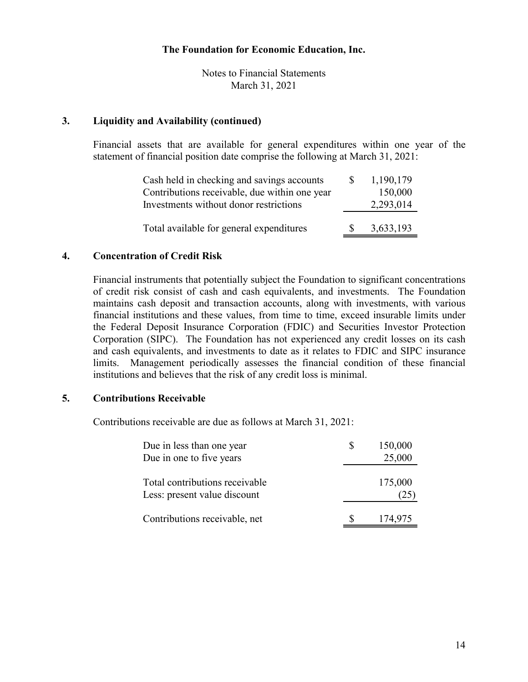Notes to Financial Statements March 31, 2021

### **3. Liquidity and Availability (continued)**

Financial assets that are available for general expenditures within one year of the statement of financial position date comprise the following at March 31, 2021:

| Cash held in checking and savings accounts    | 1,190,179 |
|-----------------------------------------------|-----------|
| Contributions receivable, due within one year | 150,000   |
| Investments without donor restrictions        | 2,293,014 |
|                                               |           |
| Total available for general expenditures      | 3,633,193 |

## **4. Concentration of Credit Risk**

Financial instruments that potentially subject the Foundation to significant concentrations of credit risk consist of cash and cash equivalents, and investments. The Foundation maintains cash deposit and transaction accounts, along with investments, with various financial institutions and these values, from time to time, exceed insurable limits under the Federal Deposit Insurance Corporation (FDIC) and Securities Investor Protection Corporation (SIPC). The Foundation has not experienced any credit losses on its cash and cash equivalents, and investments to date as it relates to FDIC and SIPC insurance limits. Management periodically assesses the financial condition of these financial institutions and believes that the risk of any credit loss is minimal.

## **5. Contributions Receivable**

Contributions receivable are due as follows at March 31, 2021:

| Due in less than one year<br>Due in one to five years          | S | 150,000<br>25,000 |
|----------------------------------------------------------------|---|-------------------|
| Total contributions receivable<br>Less: present value discount |   | 175,000<br>25     |
| Contributions receivable, net                                  |   | 174,975           |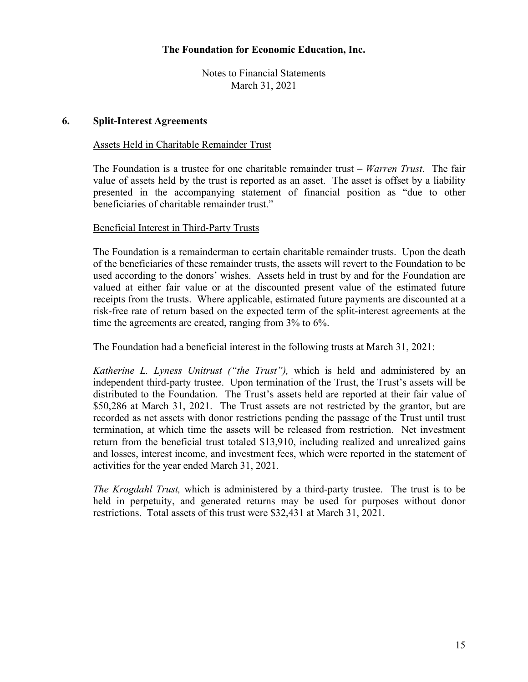Notes to Financial Statements March 31, 2021

#### **6. Split-Interest Agreements**

#### Assets Held in Charitable Remainder Trust

The Foundation is a trustee for one charitable remainder trust – *Warren Trust.* The fair value of assets held by the trust is reported as an asset. The asset is offset by a liability presented in the accompanying statement of financial position as "due to other beneficiaries of charitable remainder trust."

#### Beneficial Interest in Third-Party Trusts

The Foundation is a remainderman to certain charitable remainder trusts. Upon the death of the beneficiaries of these remainder trusts, the assets will revert to the Foundation to be used according to the donors' wishes. Assets held in trust by and for the Foundation are valued at either fair value or at the discounted present value of the estimated future receipts from the trusts. Where applicable, estimated future payments are discounted at a risk-free rate of return based on the expected term of the split-interest agreements at the time the agreements are created, ranging from 3% to 6%.

The Foundation had a beneficial interest in the following trusts at March 31, 2021:

*Katherine L. Lyness Unitrust ("the Trust"),* which is held and administered by an independent third-party trustee. Upon termination of the Trust, the Trust's assets will be distributed to the Foundation. The Trust's assets held are reported at their fair value of \$50,286 at March 31, 2021. The Trust assets are not restricted by the grantor, but are recorded as net assets with donor restrictions pending the passage of the Trust until trust termination, at which time the assets will be released from restriction. Net investment return from the beneficial trust totaled \$13,910, including realized and unrealized gains and losses, interest income, and investment fees, which were reported in the statement of activities for the year ended March 31, 2021.

*The Krogdahl Trust,* which is administered by a third-party trustee. The trust is to be held in perpetuity, and generated returns may be used for purposes without donor restrictions. Total assets of this trust were \$32,431 at March 31, 2021.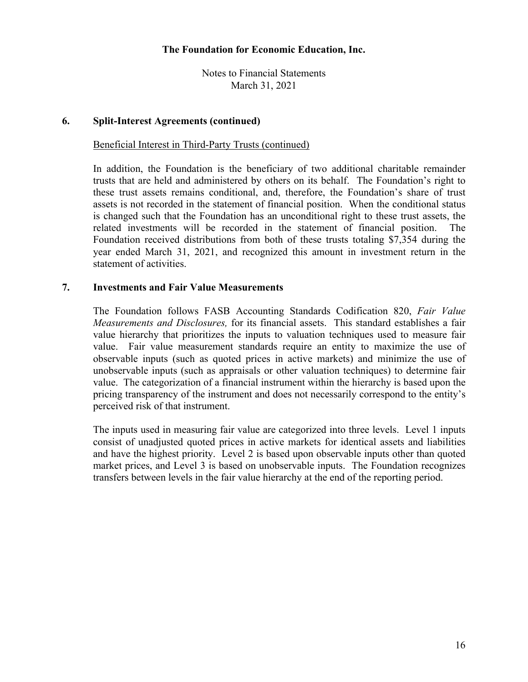Notes to Financial Statements March 31, 2021

### **6. Split-Interest Agreements (continued)**

### Beneficial Interest in Third-Party Trusts (continued)

In addition, the Foundation is the beneficiary of two additional charitable remainder trusts that are held and administered by others on its behalf. The Foundation's right to these trust assets remains conditional, and, therefore, the Foundation's share of trust assets is not recorded in the statement of financial position. When the conditional status is changed such that the Foundation has an unconditional right to these trust assets, the related investments will be recorded in the statement of financial position. The Foundation received distributions from both of these trusts totaling \$7,354 during the year ended March 31, 2021, and recognized this amount in investment return in the statement of activities.

#### **7. Investments and Fair Value Measurements**

The Foundation follows FASB Accounting Standards Codification 820, *Fair Value Measurements and Disclosures,* for its financial assets. This standard establishes a fair value hierarchy that prioritizes the inputs to valuation techniques used to measure fair value. Fair value measurement standards require an entity to maximize the use of observable inputs (such as quoted prices in active markets) and minimize the use of unobservable inputs (such as appraisals or other valuation techniques) to determine fair value. The categorization of a financial instrument within the hierarchy is based upon the pricing transparency of the instrument and does not necessarily correspond to the entity's perceived risk of that instrument.

The inputs used in measuring fair value are categorized into three levels. Level 1 inputs consist of unadjusted quoted prices in active markets for identical assets and liabilities and have the highest priority. Level 2 is based upon observable inputs other than quoted market prices, and Level 3 is based on unobservable inputs. The Foundation recognizes transfers between levels in the fair value hierarchy at the end of the reporting period.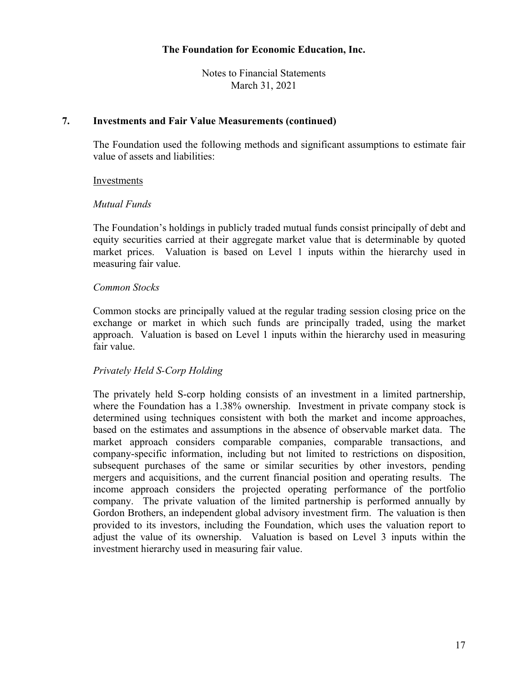Notes to Financial Statements March 31, 2021

### **7. Investments and Fair Value Measurements (continued)**

The Foundation used the following methods and significant assumptions to estimate fair value of assets and liabilities:

#### Investments

#### *Mutual Funds*

The Foundation's holdings in publicly traded mutual funds consist principally of debt and equity securities carried at their aggregate market value that is determinable by quoted market prices. Valuation is based on Level 1 inputs within the hierarchy used in measuring fair value.

#### *Common Stocks*

Common stocks are principally valued at the regular trading session closing price on the exchange or market in which such funds are principally traded, using the market approach. Valuation is based on Level 1 inputs within the hierarchy used in measuring fair value.

## *Privately Held S-Corp Holding*

The privately held S-corp holding consists of an investment in a limited partnership, where the Foundation has a 1.38% ownership. Investment in private company stock is determined using techniques consistent with both the market and income approaches, based on the estimates and assumptions in the absence of observable market data. The market approach considers comparable companies, comparable transactions, and company-specific information, including but not limited to restrictions on disposition, subsequent purchases of the same or similar securities by other investors, pending mergers and acquisitions, and the current financial position and operating results. The income approach considers the projected operating performance of the portfolio company. The private valuation of the limited partnership is performed annually by Gordon Brothers, an independent global advisory investment firm. The valuation is then provided to its investors, including the Foundation, which uses the valuation report to adjust the value of its ownership. Valuation is based on Level 3 inputs within the investment hierarchy used in measuring fair value.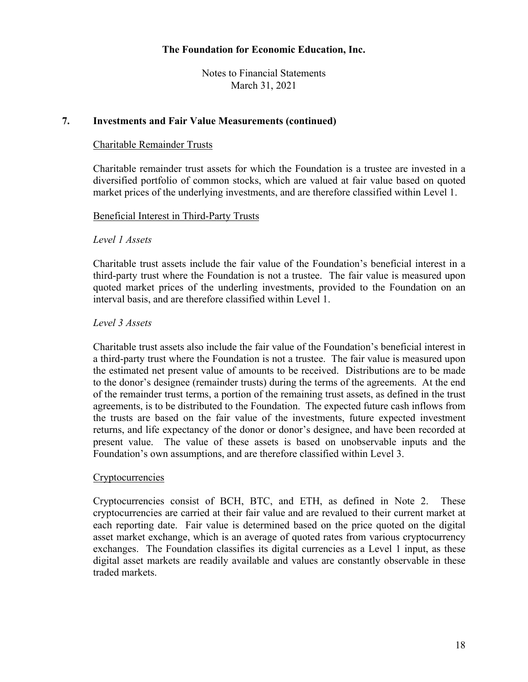Notes to Financial Statements March 31, 2021

### **7. Investments and Fair Value Measurements (continued)**

#### Charitable Remainder Trusts

Charitable remainder trust assets for which the Foundation is a trustee are invested in a diversified portfolio of common stocks, which are valued at fair value based on quoted market prices of the underlying investments, and are therefore classified within Level 1.

#### Beneficial Interest in Third-Party Trusts

#### *Level 1 Assets*

Charitable trust assets include the fair value of the Foundation's beneficial interest in a third-party trust where the Foundation is not a trustee. The fair value is measured upon quoted market prices of the underling investments, provided to the Foundation on an interval basis, and are therefore classified within Level 1.

### *Level 3 Assets*

Charitable trust assets also include the fair value of the Foundation's beneficial interest in a third-party trust where the Foundation is not a trustee. The fair value is measured upon the estimated net present value of amounts to be received. Distributions are to be made to the donor's designee (remainder trusts) during the terms of the agreements. At the end of the remainder trust terms, a portion of the remaining trust assets, as defined in the trust agreements, is to be distributed to the Foundation. The expected future cash inflows from the trusts are based on the fair value of the investments, future expected investment returns, and life expectancy of the donor or donor's designee, and have been recorded at present value. The value of these assets is based on unobservable inputs and the Foundation's own assumptions, and are therefore classified within Level 3.

#### Cryptocurrencies

Cryptocurrencies consist of BCH, BTC, and ETH, as defined in Note 2. These cryptocurrencies are carried at their fair value and are revalued to their current market at each reporting date. Fair value is determined based on the price quoted on the digital asset market exchange, which is an average of quoted rates from various cryptocurrency exchanges. The Foundation classifies its digital currencies as a Level 1 input, as these digital asset markets are readily available and values are constantly observable in these traded markets.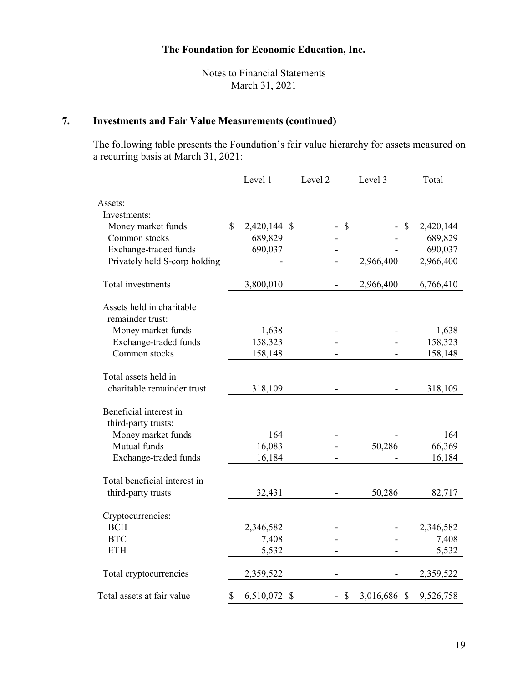Notes to Financial Statements March 31, 2021

## **7. Investments and Fair Value Measurements (continued)**

The following table presents the Foundation's fair value hierarchy for assets measured on a recurring basis at March 31, 2021:

|                               | Level 1            |                           | Level <sub>2</sub> | Level 3      | Total           |
|-------------------------------|--------------------|---------------------------|--------------------|--------------|-----------------|
|                               |                    |                           |                    |              |                 |
| Assets:<br>Investments:       |                    |                           |                    |              |                 |
| Money market funds            | \$<br>2,420,144 \$ |                           | \$                 |              | \$<br>2,420,144 |
| Common stocks                 | 689,829            |                           |                    |              | 689,829         |
| Exchange-traded funds         | 690,037            |                           |                    |              | 690,037         |
| Privately held S-corp holding |                    |                           |                    | 2,966,400    | 2,966,400       |
|                               |                    |                           |                    |              |                 |
| Total investments             | 3,800,010          |                           |                    | 2,966,400    | 6,766,410       |
| Assets held in charitable     |                    |                           |                    |              |                 |
| remainder trust:              |                    |                           |                    |              |                 |
| Money market funds            | 1,638              |                           |                    |              | 1,638           |
| Exchange-traded funds         | 158,323            |                           |                    |              | 158,323         |
| Common stocks                 | 158,148            |                           |                    |              | 158,148         |
|                               |                    |                           |                    |              |                 |
| Total assets held in          |                    |                           |                    |              |                 |
| charitable remainder trust    | 318,109            |                           |                    |              | 318,109         |
|                               |                    |                           |                    |              |                 |
| Beneficial interest in        |                    |                           |                    |              |                 |
| third-party trusts:           |                    |                           |                    |              |                 |
| Money market funds            | 164                |                           |                    |              | 164             |
| Mutual funds                  | 16,083             |                           |                    | 50,286       | 66,369          |
| Exchange-traded funds         | 16,184             |                           |                    |              | 16,184          |
| Total beneficial interest in  |                    |                           |                    |              |                 |
| third-party trusts            | 32,431             |                           |                    | 50,286       |                 |
|                               |                    |                           |                    |              | 82,717          |
| Cryptocurrencies:             |                    |                           |                    |              |                 |
| <b>BCH</b>                    | 2,346,582          |                           |                    |              | 2,346,582       |
| <b>BTC</b>                    | 7,408              |                           |                    |              | 7,408           |
| <b>ETH</b>                    | 5,532              |                           |                    |              | 5,532           |
|                               |                    |                           |                    |              |                 |
| Total cryptocurrencies        | 2,359,522          |                           |                    |              | 2,359,522       |
| Total assets at fair value    | \$<br>6,510,072    | $\boldsymbol{\mathsf{S}}$ | $-$ \$             | 3,016,686 \$ | 9,526,758       |
|                               |                    |                           |                    |              |                 |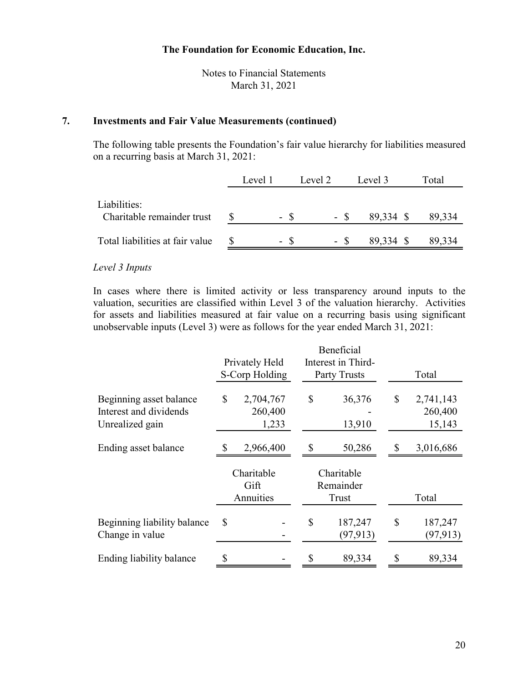Notes to Financial Statements March 31, 2021

#### **7. Investments and Fair Value Measurements (continued)**

The following table presents the Foundation's fair value hierarchy for liabilities measured on a recurring basis at March 31, 2021:

|                                            | Level 1 | Level 2 | Level 3          | Total  |
|--------------------------------------------|---------|---------|------------------|--------|
| Liabilities:<br>Charitable remainder trust | - \$    |         | $-$ \$ 89,334 \$ | 89,334 |
| Total liabilities at fair value            | - \$    | - \$    | 89,334 \$        | 89,334 |

## *Level 3 Inputs*

In cases where there is limited activity or less transparency around inputs to the valuation, securities are classified within Level 3 of the valuation hierarchy. Activities for assets and liabilities measured at fair value on a recurring basis using significant unobservable inputs (Level 3) were as follows for the year ended March 31, 2021:

|                                                                      |                                      |                               |                                  | Beneficial           |    |                                |
|----------------------------------------------------------------------|--------------------------------------|-------------------------------|----------------------------------|----------------------|----|--------------------------------|
|                                                                      | Privately Held<br>Interest in Third- |                               |                                  |                      |    |                                |
|                                                                      |                                      | S-Corp Holding                |                                  | Party Trusts         |    | Total                          |
| Beginning asset balance<br>Interest and dividends<br>Unrealized gain | \$                                   | 2,704,767<br>260,400<br>1,233 | \$                               | 36,376<br>13,910     | \$ | 2,741,143<br>260,400<br>15,143 |
| Ending asset balance                                                 | \$                                   | 2,966,400                     | S                                | 50,286               | S  | 3,016,686                      |
|                                                                      | Charitable<br>Gift<br>Annuities      |                               | Charitable<br>Remainder<br>Trust |                      |    | Total                          |
| Beginning liability balance<br>Change in value                       | \$                                   |                               | \$                               | 187,247<br>(97, 913) | \$ | 187,247<br>(97, 913)           |
| Ending liability balance                                             | \$                                   |                               | \$                               | 89,334               | \$ | 89,334                         |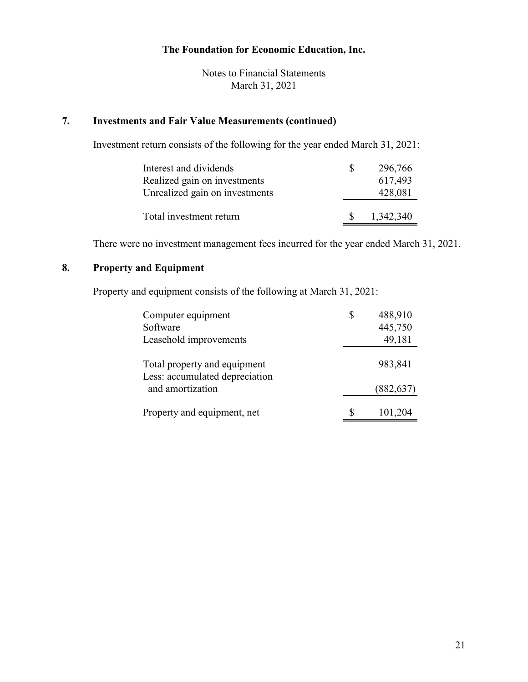Notes to Financial Statements March 31, 2021

## **7. Investments and Fair Value Measurements (continued)**

Investment return consists of the following for the year ended March 31, 2021:

| Interest and dividends         |              | 296,766   |
|--------------------------------|--------------|-----------|
| Realized gain on investments   |              | 617,493   |
| Unrealized gain on investments |              | 428,081   |
| Total investment return        | $\mathbf{S}$ | 1,342,340 |

There were no investment management fees incurred for the year ended March 31, 2021.

# **8. Property and Equipment**

Property and equipment consists of the following at March 31, 2021:

| Computer equipment                                             | 488,910    |
|----------------------------------------------------------------|------------|
| Software                                                       | 445,750    |
| Leasehold improvements                                         | 49,181     |
| Total property and equipment<br>Less: accumulated depreciation | 983,841    |
| and amortization                                               | (882, 637) |
| Property and equipment, net                                    | 101,204    |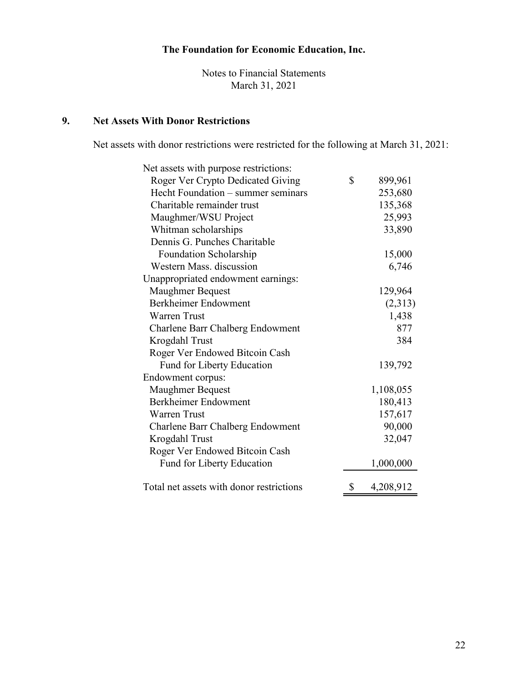Notes to Financial Statements March 31, 2021

# **9. Net Assets With Donor Restrictions**

Net assets with donor restrictions were restricted for the following at March 31, 2021:

| Net assets with purpose restrictions:    |                 |
|------------------------------------------|-----------------|
| Roger Ver Crypto Dedicated Giving        | \$<br>899,961   |
| Hecht Foundation – summer seminars       | 253,680         |
| Charitable remainder trust               | 135,368         |
| Maughmer/WSU Project                     | 25,993          |
| Whitman scholarships                     | 33,890          |
| Dennis G. Punches Charitable             |                 |
| Foundation Scholarship                   | 15,000          |
| Western Mass. discussion                 | 6,746           |
| Unappropriated endowment earnings:       |                 |
| <b>Maughmer Bequest</b>                  | 129,964         |
| Berkheimer Endowment                     | (2,313)         |
| <b>Warren Trust</b>                      | 1,438           |
| Charlene Barr Chalberg Endowment         | 877             |
| Krogdahl Trust                           | 384             |
| Roger Ver Endowed Bitcoin Cash           |                 |
| Fund for Liberty Education               | 139,792         |
| Endowment corpus:                        |                 |
| Maughmer Bequest                         | 1,108,055       |
| Berkheimer Endowment                     | 180,413         |
| <b>Warren Trust</b>                      | 157,617         |
| Charlene Barr Chalberg Endowment         | 90,000          |
| Krogdahl Trust                           | 32,047          |
| Roger Ver Endowed Bitcoin Cash           |                 |
| Fund for Liberty Education               | 1,000,000       |
| Total net assets with donor restrictions | \$<br>4,208,912 |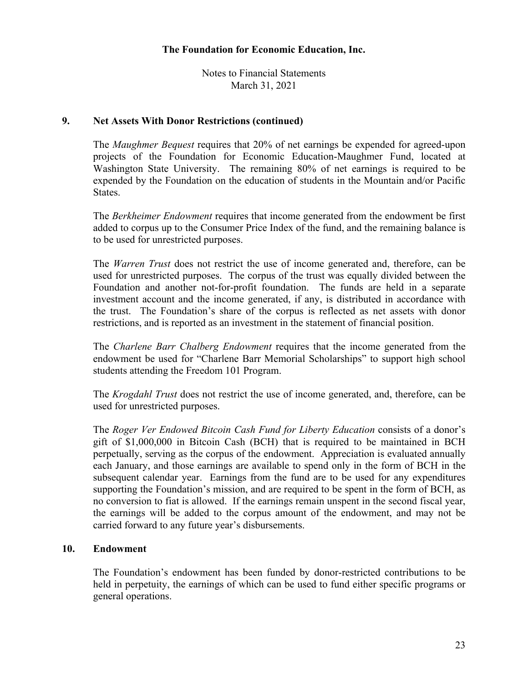Notes to Financial Statements March 31, 2021

## **9. Net Assets With Donor Restrictions (continued)**

The *Maughmer Bequest* requires that 20% of net earnings be expended for agreed-upon projects of the Foundation for Economic Education-Maughmer Fund, located at Washington State University. The remaining 80% of net earnings is required to be expended by the Foundation on the education of students in the Mountain and/or Pacific States.

The *Berkheimer Endowment* requires that income generated from the endowment be first added to corpus up to the Consumer Price Index of the fund, and the remaining balance is to be used for unrestricted purposes.

The *Warren Trust* does not restrict the use of income generated and, therefore, can be used for unrestricted purposes. The corpus of the trust was equally divided between the Foundation and another not-for-profit foundation. The funds are held in a separate investment account and the income generated, if any, is distributed in accordance with the trust. The Foundation's share of the corpus is reflected as net assets with donor restrictions, and is reported as an investment in the statement of financial position.

The *Charlene Barr Chalberg Endowment* requires that the income generated from the endowment be used for "Charlene Barr Memorial Scholarships" to support high school students attending the Freedom 101 Program.

The *Krogdahl Trust* does not restrict the use of income generated, and, therefore, can be used for unrestricted purposes.

The *Roger Ver Endowed Bitcoin Cash Fund for Liberty Education* consists of a donor's gift of \$1,000,000 in Bitcoin Cash (BCH) that is required to be maintained in BCH perpetually, serving as the corpus of the endowment. Appreciation is evaluated annually each January, and those earnings are available to spend only in the form of BCH in the subsequent calendar year. Earnings from the fund are to be used for any expenditures supporting the Foundation's mission, and are required to be spent in the form of BCH, as no conversion to fiat is allowed. If the earnings remain unspent in the second fiscal year, the earnings will be added to the corpus amount of the endowment, and may not be carried forward to any future year's disbursements.

## **10. Endowment**

The Foundation's endowment has been funded by donor-restricted contributions to be held in perpetuity, the earnings of which can be used to fund either specific programs or general operations.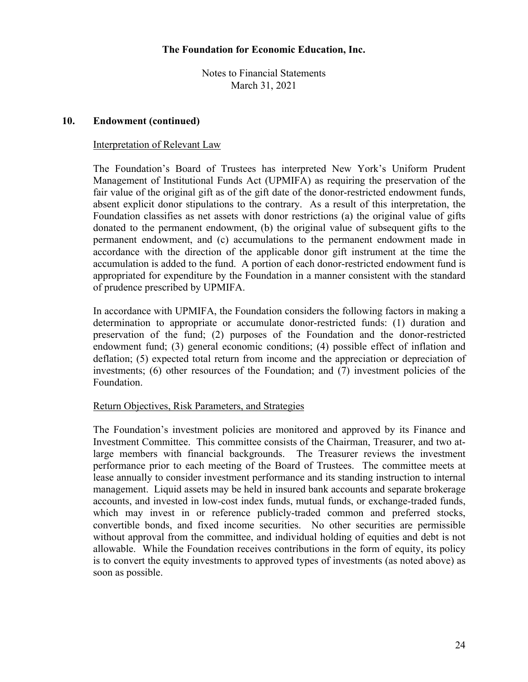Notes to Financial Statements March 31, 2021

### **10. Endowment (continued)**

#### Interpretation of Relevant Law

The Foundation's Board of Trustees has interpreted New York's Uniform Prudent Management of Institutional Funds Act (UPMIFA) as requiring the preservation of the fair value of the original gift as of the gift date of the donor-restricted endowment funds, absent explicit donor stipulations to the contrary. As a result of this interpretation, the Foundation classifies as net assets with donor restrictions (a) the original value of gifts donated to the permanent endowment, (b) the original value of subsequent gifts to the permanent endowment, and (c) accumulations to the permanent endowment made in accordance with the direction of the applicable donor gift instrument at the time the accumulation is added to the fund. A portion of each donor-restricted endowment fund is appropriated for expenditure by the Foundation in a manner consistent with the standard of prudence prescribed by UPMIFA.

In accordance with UPMIFA, the Foundation considers the following factors in making a determination to appropriate or accumulate donor-restricted funds: (1) duration and preservation of the fund; (2) purposes of the Foundation and the donor-restricted endowment fund; (3) general economic conditions; (4) possible effect of inflation and deflation; (5) expected total return from income and the appreciation or depreciation of investments; (6) other resources of the Foundation; and (7) investment policies of the Foundation.

## Return Objectives, Risk Parameters, and Strategies

The Foundation's investment policies are monitored and approved by its Finance and Investment Committee. This committee consists of the Chairman, Treasurer, and two atlarge members with financial backgrounds. The Treasurer reviews the investment performance prior to each meeting of the Board of Trustees. The committee meets at lease annually to consider investment performance and its standing instruction to internal management. Liquid assets may be held in insured bank accounts and separate brokerage accounts, and invested in low-cost index funds, mutual funds, or exchange-traded funds, which may invest in or reference publicly-traded common and preferred stocks, convertible bonds, and fixed income securities. No other securities are permissible without approval from the committee, and individual holding of equities and debt is not allowable. While the Foundation receives contributions in the form of equity, its policy is to convert the equity investments to approved types of investments (as noted above) as soon as possible.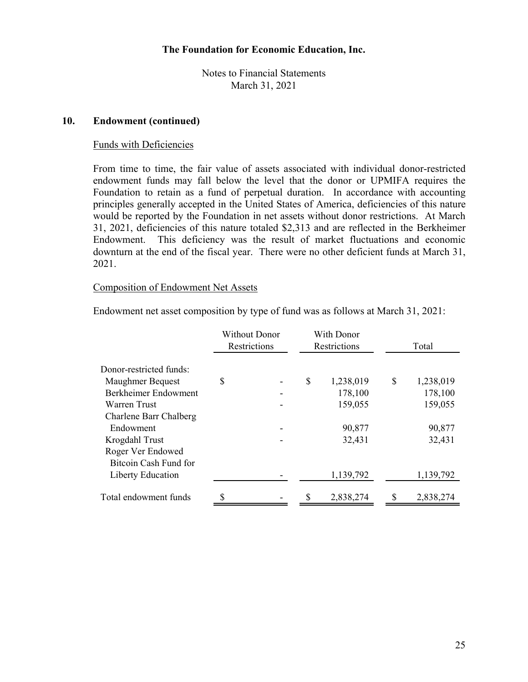Notes to Financial Statements March 31, 2021

### **10. Endowment (continued)**

#### Funds with Deficiencies

From time to time, the fair value of assets associated with individual donor-restricted endowment funds may fall below the level that the donor or UPMIFA requires the Foundation to retain as a fund of perpetual duration. In accordance with accounting principles generally accepted in the United States of America, deficiencies of this nature would be reported by the Foundation in net assets without donor restrictions. At March 31, 2021, deficiencies of this nature totaled \$2,313 and are reflected in the Berkheimer Endowment. This deficiency was the result of market fluctuations and economic downturn at the end of the fiscal year. There were no other deficient funds at March 31, 2021.

#### Composition of Endowment Net Assets

|                              | <b>Without Donor</b><br>With Donor<br>Restrictions<br>Restrictions |    |           | Total |           |
|------------------------------|--------------------------------------------------------------------|----|-----------|-------|-----------|
| Donor-restricted funds:      |                                                                    |    |           |       |           |
| Maughmer Bequest             | \$                                                                 | \$ | 1,238,019 | \$    | 1,238,019 |
| Berkheimer Endowment         |                                                                    |    | 178,100   |       | 178,100   |
| <b>Warren Trust</b>          |                                                                    |    | 159,055   |       | 159,055   |
| Charlene Barr Chalberg       |                                                                    |    |           |       |           |
| Endowment                    |                                                                    |    | 90,877    |       | 90,877    |
| Krogdahl Trust               |                                                                    |    | 32,431    |       | 32,431    |
| Roger Ver Endowed            |                                                                    |    |           |       |           |
| <b>Bitcoin Cash Fund for</b> |                                                                    |    |           |       |           |
| Liberty Education            |                                                                    |    | 1,139,792 |       | 1,139,792 |
| Total endowment funds        |                                                                    |    | 2,838,274 |       | 2,838,274 |

Endowment net asset composition by type of fund was as follows at March 31, 2021: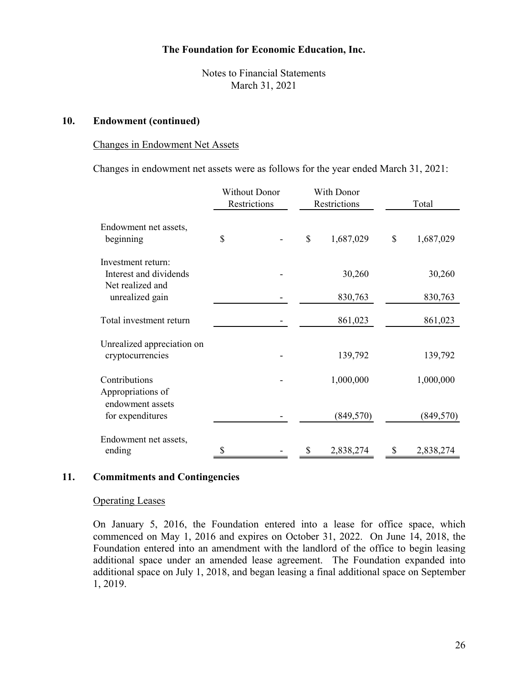Notes to Financial Statements March 31, 2021

#### **10. Endowment (continued)**

#### Changes in Endowment Net Assets

Changes in endowment net assets were as follows for the year ended March 31, 2021:

|                                                | Restrictions | <b>Without Donor</b> | With Donor<br>Restrictions |            | Total |            |
|------------------------------------------------|--------------|----------------------|----------------------------|------------|-------|------------|
| Endowment net assets,<br>beginning             | \$           |                      | \$                         | 1,687,029  | \$    | 1,687,029  |
| Investment return:<br>Interest and dividends   |              |                      |                            | 30,260     |       | 30,260     |
| Net realized and<br>unrealized gain            |              |                      |                            | 830,763    |       | 830,763    |
| Total investment return                        |              |                      |                            | 861,023    |       | 861,023    |
| Unrealized appreciation on<br>cryptocurrencies |              |                      |                            | 139,792    |       | 139,792    |
| Contributions<br>Appropriations of             |              |                      |                            | 1,000,000  |       | 1,000,000  |
| endowment assets<br>for expenditures           |              |                      |                            | (849, 570) |       | (849, 570) |
| Endowment net assets,<br>ending                | \$           |                      | \$                         | 2,838,274  |       | 2,838,274  |

## **11. Commitments and Contingencies**

#### **Operating Leases**

On January 5, 2016, the Foundation entered into a lease for office space, which commenced on May 1, 2016 and expires on October 31, 2022. On June 14, 2018, the Foundation entered into an amendment with the landlord of the office to begin leasing additional space under an amended lease agreement. The Foundation expanded into additional space on July 1, 2018, and began leasing a final additional space on September 1, 2019.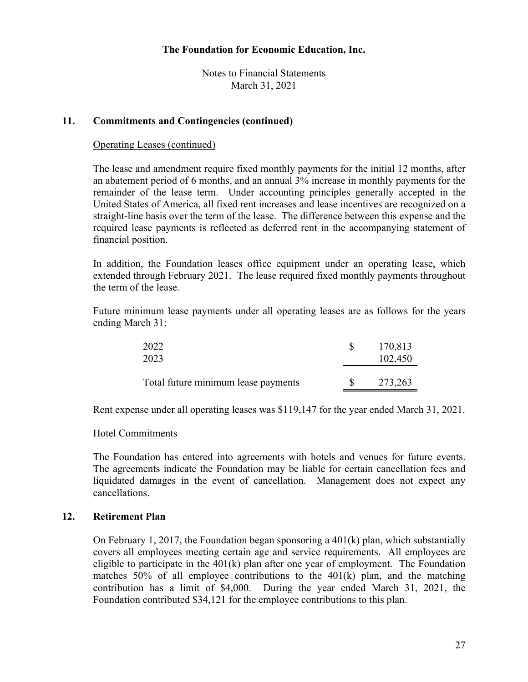Notes to Financial Statements March 31, 2021

### **11. Commitments and Contingencies (continued)**

#### Operating Leases (continued)

The lease and amendment require fixed monthly payments for the initial 12 months, after an abatement period of 6 months, and an annual 3% increase in monthly payments for the remainder of the lease term. Under accounting principles generally accepted in the United States of America, all fixed rent increases and lease incentives are recognized on a straight-line basis over the term of the lease. The difference between this expense and the required lease payments is reflected as deferred rent in the accompanying statement of financial position.

In addition, the Foundation leases office equipment under an operating lease, which extended through February 2021. The lease required fixed monthly payments throughout the term of the lease.

Future minimum lease payments under all operating leases are as follows for the years ending March 31:

| 2022<br>2023                        | 170,813<br>102,450 |
|-------------------------------------|--------------------|
| Total future minimum lease payments | 273,263            |

Rent expense under all operating leases was \$119,147 for the year ended March 31, 2021.

## Hotel Commitments

The Foundation has entered into agreements with hotels and venues for future events. The agreements indicate the Foundation may be liable for certain cancellation fees and liquidated damages in the event of cancellation. Management does not expect any cancellations.

## **12. Retirement Plan**

On February 1, 2017, the Foundation began sponsoring a 401(k) plan, which substantially covers all employees meeting certain age and service requirements. All employees are eligible to participate in the  $401(k)$  plan after one year of employment. The Foundation matches 50% of all employee contributions to the 401(k) plan, and the matching contribution has a limit of \$4,000. During the year ended March 31, 2021, the Foundation contributed \$34,121 for the employee contributions to this plan.